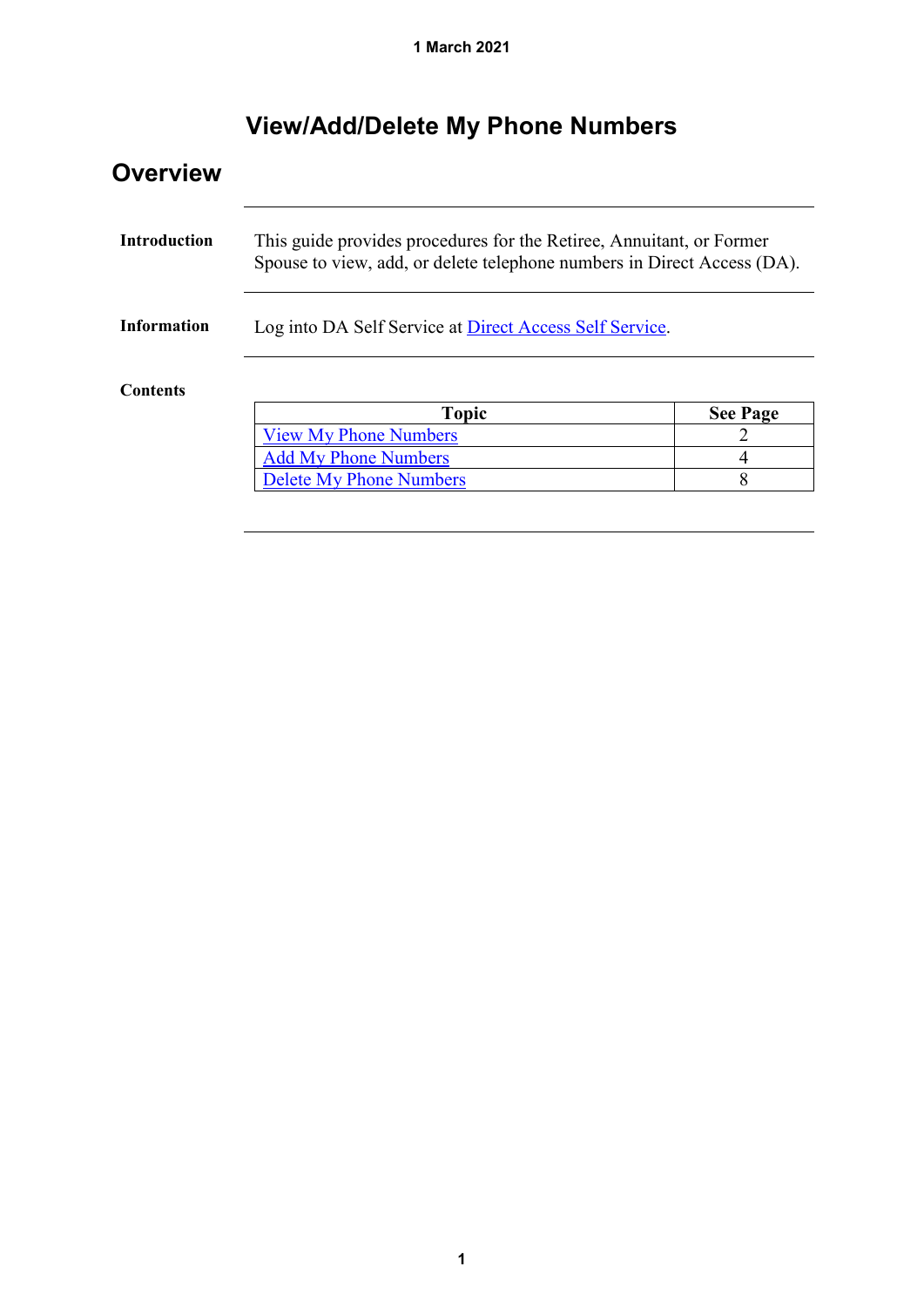# **View/Add/Delete My Phone Numbers**

| <b>Overview</b>     |                                                                                                                                                 |                 |  |  |  |  |
|---------------------|-------------------------------------------------------------------------------------------------------------------------------------------------|-----------------|--|--|--|--|
| <b>Introduction</b> | This guide provides procedures for the Retiree, Annuitant, or Former<br>Spouse to view, add, or delete telephone numbers in Direct Access (DA). |                 |  |  |  |  |
| <b>Information</b>  | Log into DA Self Service at Direct Access Self Service.                                                                                         |                 |  |  |  |  |
| <b>Contents</b>     |                                                                                                                                                 |                 |  |  |  |  |
|                     | <b>Topic</b>                                                                                                                                    | <b>See Page</b> |  |  |  |  |
|                     | <b>View My Phone Numbers</b>                                                                                                                    |                 |  |  |  |  |
|                     | <b>Add My Phone Numbers</b>                                                                                                                     | 4               |  |  |  |  |
|                     | <b>Delete My Phone Numbers</b>                                                                                                                  | 8               |  |  |  |  |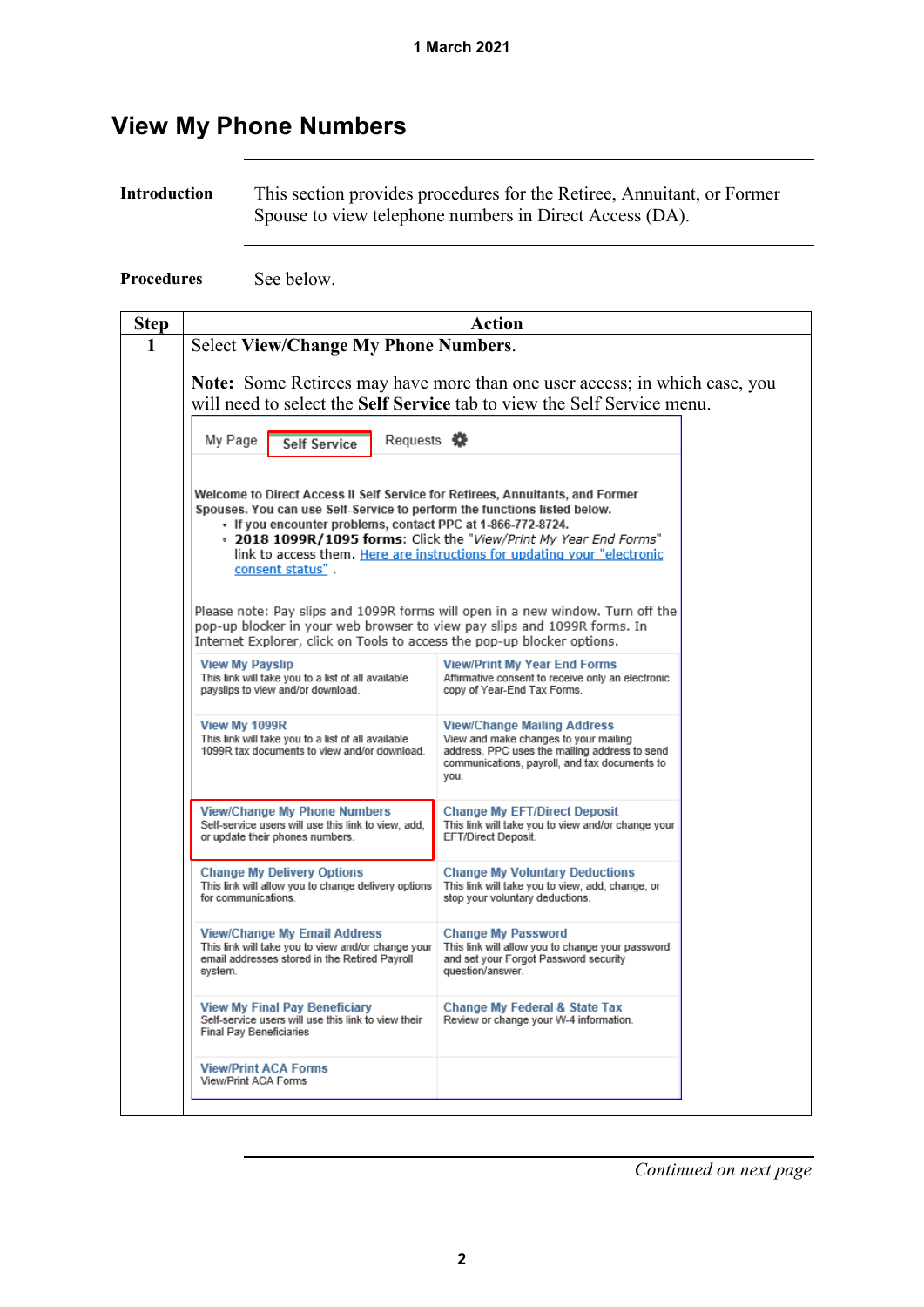### <span id="page-1-0"></span>**View My Phone Numbers**

**Introduction** This section provides procedures for the Retiree, Annuitant, or Former Spouse to view telephone numbers in Direct Access (DA).

**Procedures** See below.

| <b>Step</b> | <b>Action</b>                                                                                                                                                                                                                                                                                                            |                                                                                                                                                                                                                                 |  |  |
|-------------|--------------------------------------------------------------------------------------------------------------------------------------------------------------------------------------------------------------------------------------------------------------------------------------------------------------------------|---------------------------------------------------------------------------------------------------------------------------------------------------------------------------------------------------------------------------------|--|--|
|             | <b>Select View/Change My Phone Numbers.</b>                                                                                                                                                                                                                                                                              |                                                                                                                                                                                                                                 |  |  |
|             |                                                                                                                                                                                                                                                                                                                          | <b>Note:</b> Some Retirees may have more than one user access; in which case, you<br>will need to select the Self Service tab to view the Self Service menu.                                                                    |  |  |
|             |                                                                                                                                                                                                                                                                                                                          |                                                                                                                                                                                                                                 |  |  |
|             | Requests «<br>My Page<br><b>Self Service</b>                                                                                                                                                                                                                                                                             |                                                                                                                                                                                                                                 |  |  |
|             | Welcome to Direct Access II Self Service for Retirees, Annuitants, and Former<br>Spouses. You can use Self-Service to perform the functions listed below.<br>- If you encounter problems, contact PPC at 1-866-772-8724,<br>consent status".<br>pop-up blocker in your web browser to view pay slips and 1099R forms. In | - 2018 1099R/1095 forms: Click the "View/Print My Year End Forms"<br>link to access them. Here are instructions for updating your "electronic<br>Please note: Pay slips and 1099R forms will open in a new window. Turn off the |  |  |
|             | Internet Explorer, click on Tools to access the pop-up blocker options.                                                                                                                                                                                                                                                  |                                                                                                                                                                                                                                 |  |  |
|             | <b>View My Payslip</b><br>This link will take you to a list of all available<br>payslips to view and/or download.                                                                                                                                                                                                        | <b>View/Print My Year End Forms</b><br>Affirmative consent to receive only an electronic<br>copy of Year-End Tax Forms.                                                                                                         |  |  |
|             | View My 1099R<br>This link will take you to a list of all available<br>1099R tax documents to view and/or download.                                                                                                                                                                                                      | <b>View/Change Mailing Address</b><br>View and make changes to your mailing<br>address. PPC uses the mailing address to send<br>communications, payroll, and tax documents to<br>you.                                           |  |  |
|             | <b>View/Change My Phone Numbers</b><br>Self-service users will use this link to view, add,<br>or update their phones numbers.                                                                                                                                                                                            | <b>Change My EFT/Direct Deposit</b><br>This link will take you to view and/or change your<br>EFT/Direct Deposit.                                                                                                                |  |  |
|             | <b>Change My Delivery Options</b><br>This link will allow you to change delivery options<br>for communications.                                                                                                                                                                                                          | <b>Change My Voluntary Deductions</b><br>This link will take you to view, add, change, or<br>stop your voluntary deductions.                                                                                                    |  |  |
|             | <b>View/Change My Email Address</b><br>This link will take you to view and/or change your<br>email addresses stored in the Retired Payroll<br>system.                                                                                                                                                                    | <b>Change My Password</b><br>This link will allow you to change your password<br>and set your Forgot Password security<br>question/answer.                                                                                      |  |  |
|             | <b>View My Final Pay Beneficiary</b><br>Self-service users will use this link to view their<br><b>Final Pay Beneficiaries</b>                                                                                                                                                                                            | Change My Federal & State Tax<br>Review or change your W-4 information.                                                                                                                                                         |  |  |
|             |                                                                                                                                                                                                                                                                                                                          |                                                                                                                                                                                                                                 |  |  |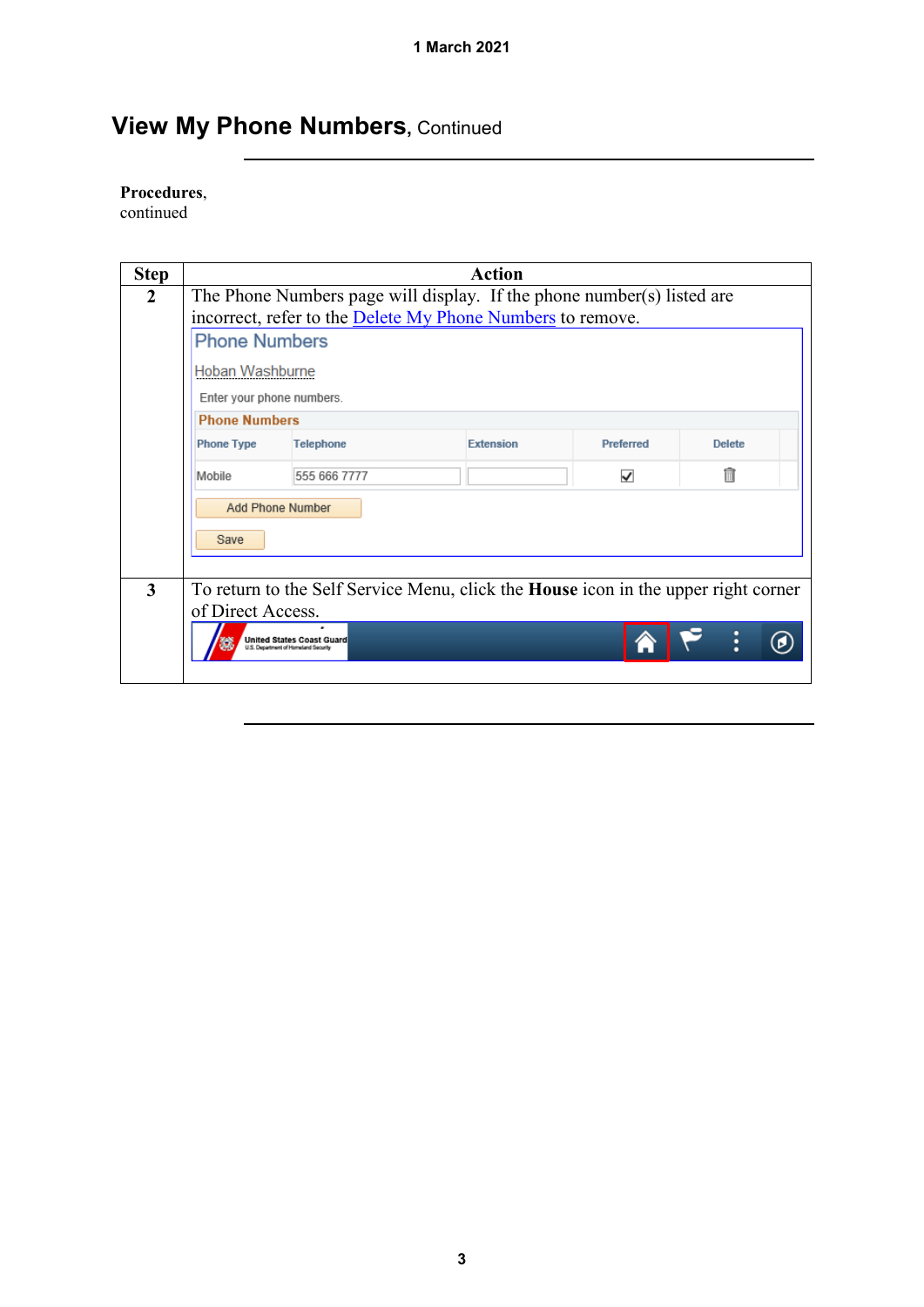## **View My Phone Numbers, Continued**

#### **Procedures**,

continued

| <b>Step</b>    | <b>Action</b>                                                          |                                                                          |                                                                                           |                  |               |  |
|----------------|------------------------------------------------------------------------|--------------------------------------------------------------------------|-------------------------------------------------------------------------------------------|------------------|---------------|--|
| $\overline{2}$ | The Phone Numbers page will display. If the phone number(s) listed are |                                                                          |                                                                                           |                  |               |  |
|                |                                                                        |                                                                          | incorrect, refer to the Delete My Phone Numbers to remove.                                |                  |               |  |
|                | <b>Phone Numbers</b>                                                   |                                                                          |                                                                                           |                  |               |  |
|                | Hoban Washburne                                                        |                                                                          |                                                                                           |                  |               |  |
|                | Enter your phone numbers.                                              |                                                                          |                                                                                           |                  |               |  |
|                | <b>Phone Numbers</b>                                                   |                                                                          |                                                                                           |                  |               |  |
|                | <b>Phone Type</b>                                                      | <b>Telephone</b>                                                         | <b>Extension</b>                                                                          | <b>Preferred</b> | <b>Delete</b> |  |
|                | Mobile                                                                 | 555 666 7777                                                             |                                                                                           | ✓                | 俞             |  |
|                |                                                                        | <b>Add Phone Number</b>                                                  |                                                                                           |                  |               |  |
|                | Save                                                                   |                                                                          |                                                                                           |                  |               |  |
|                |                                                                        |                                                                          |                                                                                           |                  |               |  |
| 3              |                                                                        |                                                                          | To return to the Self Service Menu, click the <b>House</b> icon in the upper right corner |                  |               |  |
|                | of Direct Access.                                                      |                                                                          |                                                                                           |                  |               |  |
|                |                                                                        | <b>United States Coast Guard</b><br>U.S. Department of Homeland Security |                                                                                           |                  |               |  |
|                |                                                                        |                                                                          |                                                                                           |                  |               |  |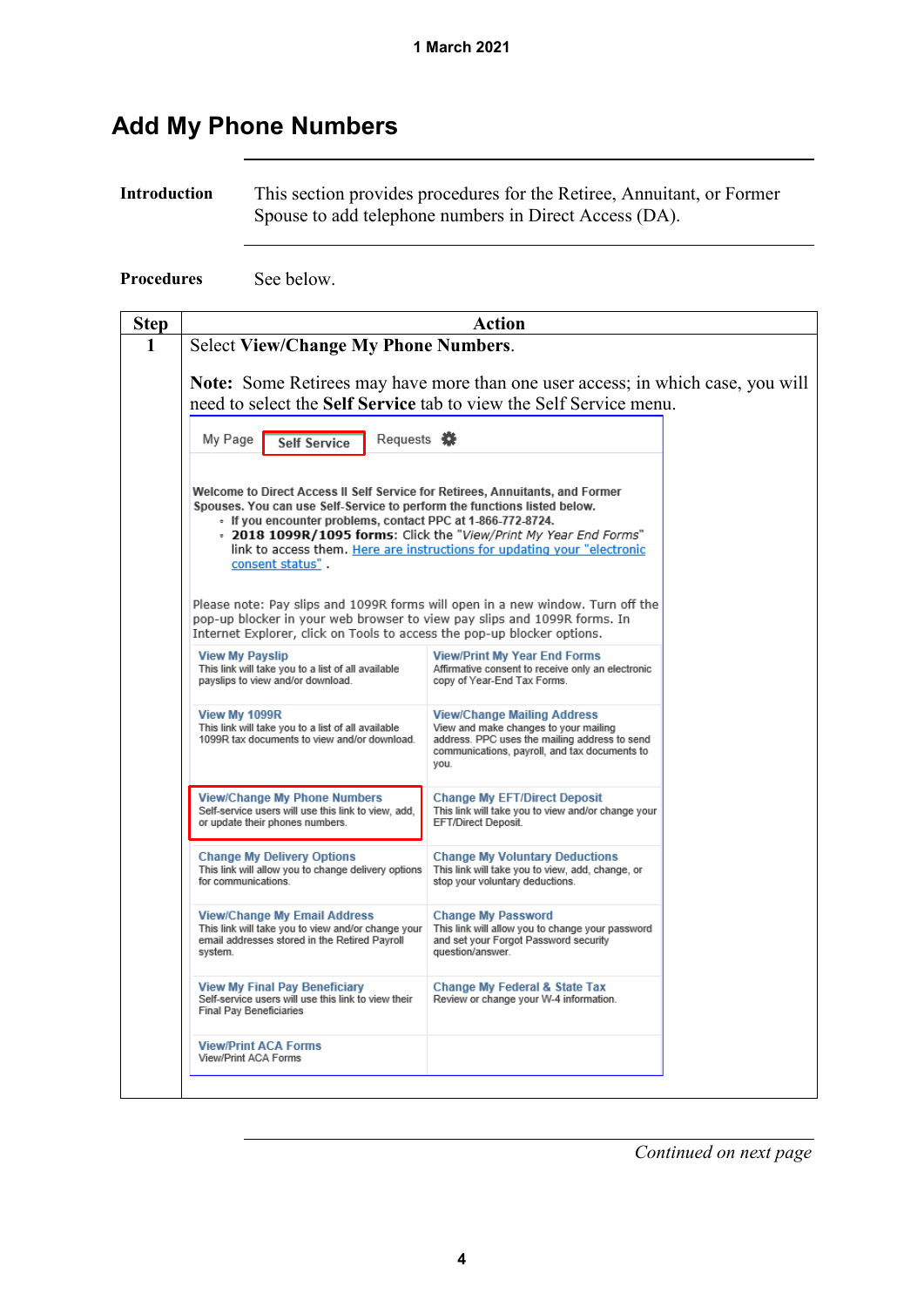### <span id="page-3-0"></span>**Add My Phone Numbers**

**Introduction** This section provides procedures for the Retiree, Annuitant, or Former Spouse to add telephone numbers in Direct Access (DA).

**Procedures** See below.

| <b>Step</b> | Action                                                                                                                                                                                                                                                                                                                                                                                                                                                                                                                                                                                                                                 |                                                                                                                                                                                       |  |  |  |  |
|-------------|----------------------------------------------------------------------------------------------------------------------------------------------------------------------------------------------------------------------------------------------------------------------------------------------------------------------------------------------------------------------------------------------------------------------------------------------------------------------------------------------------------------------------------------------------------------------------------------------------------------------------------------|---------------------------------------------------------------------------------------------------------------------------------------------------------------------------------------|--|--|--|--|
| 1           | <b>Select View/Change My Phone Numbers.</b>                                                                                                                                                                                                                                                                                                                                                                                                                                                                                                                                                                                            |                                                                                                                                                                                       |  |  |  |  |
|             | <b>Note:</b> Some Retirees may have more than one user access; in which case, you will<br>need to select the Self Service tab to view the Self Service menu.                                                                                                                                                                                                                                                                                                                                                                                                                                                                           |                                                                                                                                                                                       |  |  |  |  |
|             | My Page<br>Requests <b>茶</b><br><b>Self Service</b>                                                                                                                                                                                                                                                                                                                                                                                                                                                                                                                                                                                    |                                                                                                                                                                                       |  |  |  |  |
|             | Welcome to Direct Access II Self Service for Retirees, Annuitants, and Former<br>Spouses. You can use Self-Service to perform the functions listed below.<br>- If you encounter problems, contact PPC at 1-866-772-8724.<br>- 2018 1099R/1095 forms: Click the "View/Print My Year End Forms"<br>link to access them. Here are instructions for updating your "electronic<br>consent status".<br>Please note: Pay slips and 1099R forms will open in a new window. Turn off the<br>pop-up blocker in your web browser to view pay slips and 1099R forms. In<br>Internet Explorer, click on Tools to access the pop-up blocker options. |                                                                                                                                                                                       |  |  |  |  |
|             | <b>View My Payslip</b><br>This link will take you to a list of all available<br>payslips to view and/or download.                                                                                                                                                                                                                                                                                                                                                                                                                                                                                                                      | <b>View/Print My Year End Forms</b><br>Affirmative consent to receive only an electronic<br>copy of Year-End Tax Forms.                                                               |  |  |  |  |
|             | View My 1099R<br>This link will take you to a list of all available<br>1099R tax documents to view and/or download.                                                                                                                                                                                                                                                                                                                                                                                                                                                                                                                    | <b>View/Change Mailing Address</b><br>View and make changes to your mailing<br>address. PPC uses the mailing address to send<br>communications, payroll, and tax documents to<br>you. |  |  |  |  |
|             | <b>View/Change My Phone Numbers</b><br>Self-service users will use this link to view, add.<br>or update their phones numbers.                                                                                                                                                                                                                                                                                                                                                                                                                                                                                                          | <b>Change My EFT/Direct Deposit</b><br>This link will take you to view and/or change your<br>EFT/Direct Deposit.                                                                      |  |  |  |  |
|             | <b>Change My Delivery Options</b><br>This link will allow you to change delivery options<br>for communications.                                                                                                                                                                                                                                                                                                                                                                                                                                                                                                                        | <b>Change My Voluntary Deductions</b><br>This link will take you to view, add, change, or<br>stop your voluntary deductions.                                                          |  |  |  |  |
|             | <b>View/Change My Email Address</b><br>This link will take you to view and/or change your<br>email addresses stored in the Retired Payroll<br>system.                                                                                                                                                                                                                                                                                                                                                                                                                                                                                  | <b>Change My Password</b><br>This link will allow you to change your password<br>and set your Forgot Password security<br>question/answer.                                            |  |  |  |  |
|             | <b>View My Final Pay Beneficiary</b><br>Self-service users will use this link to view their<br><b>Final Pay Beneficiaries</b>                                                                                                                                                                                                                                                                                                                                                                                                                                                                                                          | <b>Change My Federal &amp; State Tax</b><br>Review or change your W-4 information.                                                                                                    |  |  |  |  |
|             | <b>View/Print ACA Forms</b><br>View/Print ACA Forms                                                                                                                                                                                                                                                                                                                                                                                                                                                                                                                                                                                    |                                                                                                                                                                                       |  |  |  |  |
|             |                                                                                                                                                                                                                                                                                                                                                                                                                                                                                                                                                                                                                                        |                                                                                                                                                                                       |  |  |  |  |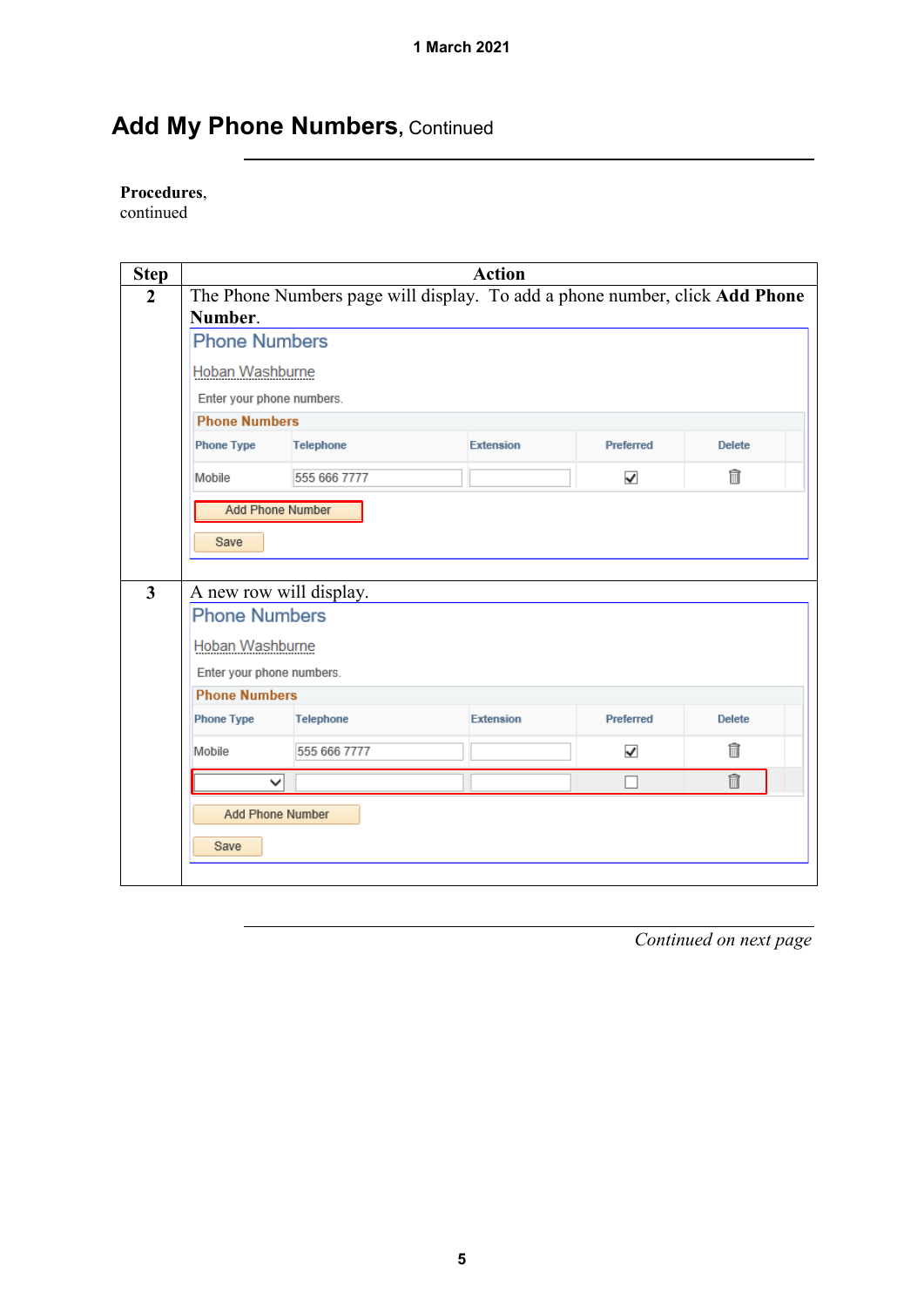## Add My Phone Numbers, Continued

#### **Procedures**,

continued

| <b>Step</b>             | <b>Action</b>                                                        |                         |                                                                             |                      |                |  |  |
|-------------------------|----------------------------------------------------------------------|-------------------------|-----------------------------------------------------------------------------|----------------------|----------------|--|--|
| $\overline{2}$          | Number.                                                              |                         | The Phone Numbers page will display. To add a phone number, click Add Phone |                      |                |  |  |
|                         | <b>Phone Numbers</b>                                                 |                         |                                                                             |                      |                |  |  |
|                         | Hoban Washburne                                                      |                         |                                                                             |                      |                |  |  |
|                         | Enter your phone numbers.                                            |                         |                                                                             |                      |                |  |  |
|                         | <b>Phone Numbers</b>                                                 |                         |                                                                             |                      |                |  |  |
|                         | <b>Phone Type</b>                                                    | <b>Telephone</b>        | Extension                                                                   | Preferred            | <b>Delete</b>  |  |  |
|                         | Mobile                                                               | 555 666 7777            |                                                                             | $\blacktriangledown$ | $\blacksquare$ |  |  |
| $\overline{\mathbf{3}}$ | Save<br>A new row will display.                                      | <b>Add Phone Number</b> |                                                                             |                      |                |  |  |
|                         | <b>Phone Numbers</b><br>Hoban Washburne<br>Enter your phone numbers. |                         |                                                                             |                      |                |  |  |
|                         | <b>Phone Numbers</b>                                                 |                         |                                                                             |                      |                |  |  |
|                         | <b>Phone Type</b>                                                    | <b>Telephone</b>        | <b>Extension</b>                                                            | Preferred            | <b>Delete</b>  |  |  |
|                         | Mobile                                                               | 555 666 7777            |                                                                             | $\checkmark$         | fi             |  |  |
|                         |                                                                      | $\checkmark$            |                                                                             |                      | fi             |  |  |
|                         | Save                                                                 | <b>Add Phone Number</b> |                                                                             |                      |                |  |  |
|                         |                                                                      |                         |                                                                             |                      |                |  |  |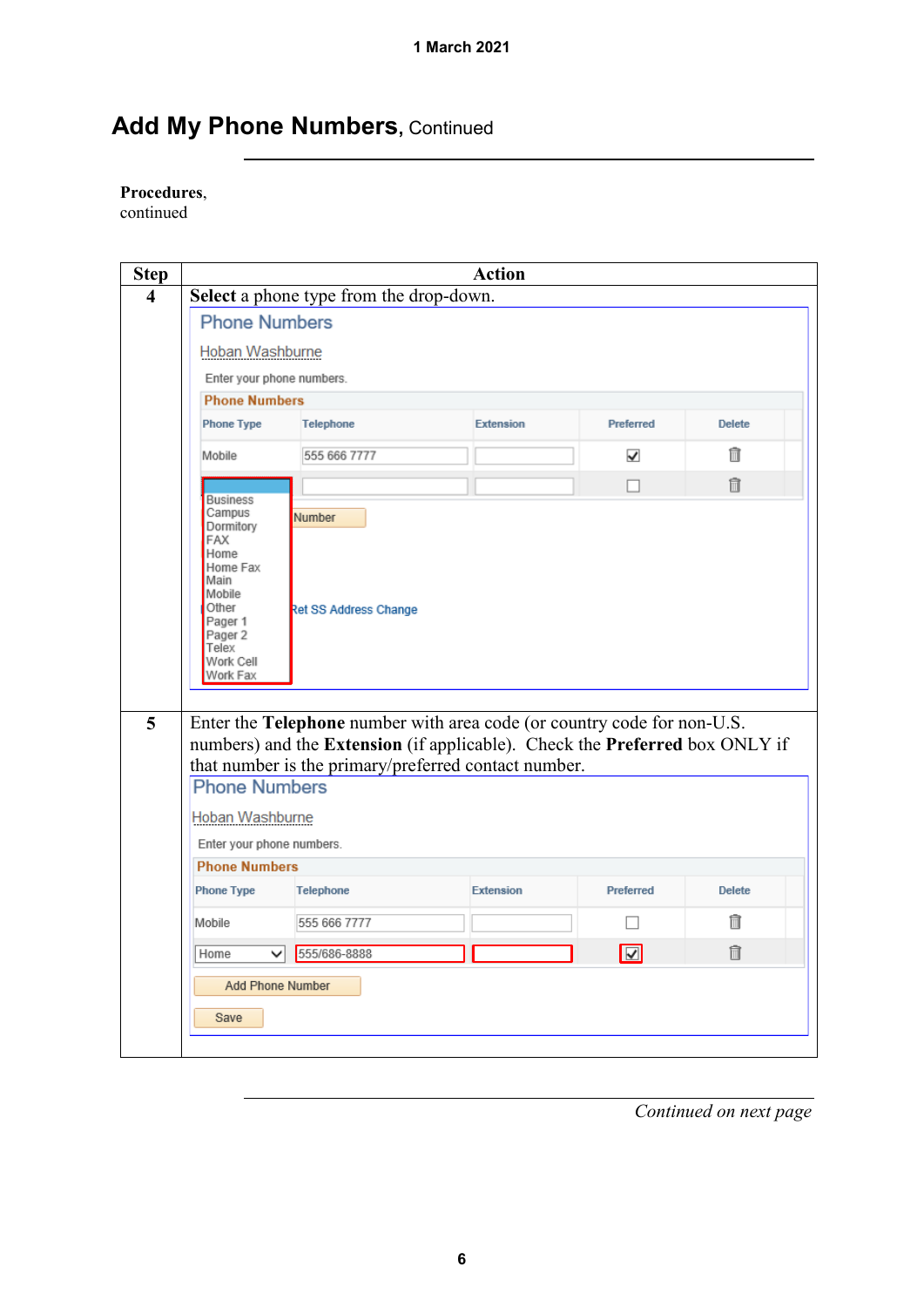## Add My Phone Numbers, Continued

#### **Procedures**,

continued

| <b>Step</b> | <b>Action</b>                                                                                                                                                                                                  |                                         |                  |                         |               |  |
|-------------|----------------------------------------------------------------------------------------------------------------------------------------------------------------------------------------------------------------|-----------------------------------------|------------------|-------------------------|---------------|--|
| 4           |                                                                                                                                                                                                                | Select a phone type from the drop-down. |                  |                         |               |  |
|             |                                                                                                                                                                                                                | <b>Phone Numbers</b>                    |                  |                         |               |  |
|             | Hoban Washburne                                                                                                                                                                                                |                                         |                  |                         |               |  |
|             | Enter your phone numbers.                                                                                                                                                                                      |                                         |                  |                         |               |  |
|             | <b>Phone Numbers</b>                                                                                                                                                                                           |                                         |                  |                         |               |  |
|             | <b>Phone Type</b>                                                                                                                                                                                              | <b>Telephone</b>                        | <b>Extension</b> | Preferred               | <b>Delete</b> |  |
|             | Mobile                                                                                                                                                                                                         | 555 666 7777                            |                  | ✓                       | m             |  |
|             |                                                                                                                                                                                                                |                                         |                  |                         | 俞             |  |
|             | <b>Business</b><br>Campus<br>Dormitory                                                                                                                                                                         | Number                                  |                  |                         |               |  |
|             | FAX<br>Home<br>Home Fax<br>Main<br>Mobile<br>Other<br>Pager 1<br>Pager 2<br>Telex<br>Work Cell<br>Work Fax                                                                                                     | <b>Ret SS Address Change</b>            |                  |                         |               |  |
| 5           | Enter the Telephone number with area code (or country code for non-U.S.<br>numbers) and the Extension (if applicable). Check the Preferred box ONLY if<br>that number is the primary/preferred contact number. |                                         |                  |                         |               |  |
|             | <b>Phone Numbers</b>                                                                                                                                                                                           |                                         |                  |                         |               |  |
|             | Hoban Washburne                                                                                                                                                                                                |                                         |                  |                         |               |  |
|             | Enter your phone numbers.                                                                                                                                                                                      |                                         |                  |                         |               |  |
|             | <b>Phone Numbers</b>                                                                                                                                                                                           |                                         |                  |                         |               |  |
|             | <b>Phone Type</b>                                                                                                                                                                                              | <b>Telephone</b>                        | <b>Extension</b> | Preferred               | <b>Delete</b> |  |
|             | Mobile                                                                                                                                                                                                         | 555 666 7777                            |                  |                         | m             |  |
|             | Home<br>◡                                                                                                                                                                                                      | 555/686-8888                            |                  | $\overline{\mathbf{v}}$ | 俞             |  |
|             | <b>Add Phone Number</b>                                                                                                                                                                                        |                                         |                  |                         |               |  |
|             | Save                                                                                                                                                                                                           |                                         |                  |                         |               |  |
|             |                                                                                                                                                                                                                |                                         |                  |                         |               |  |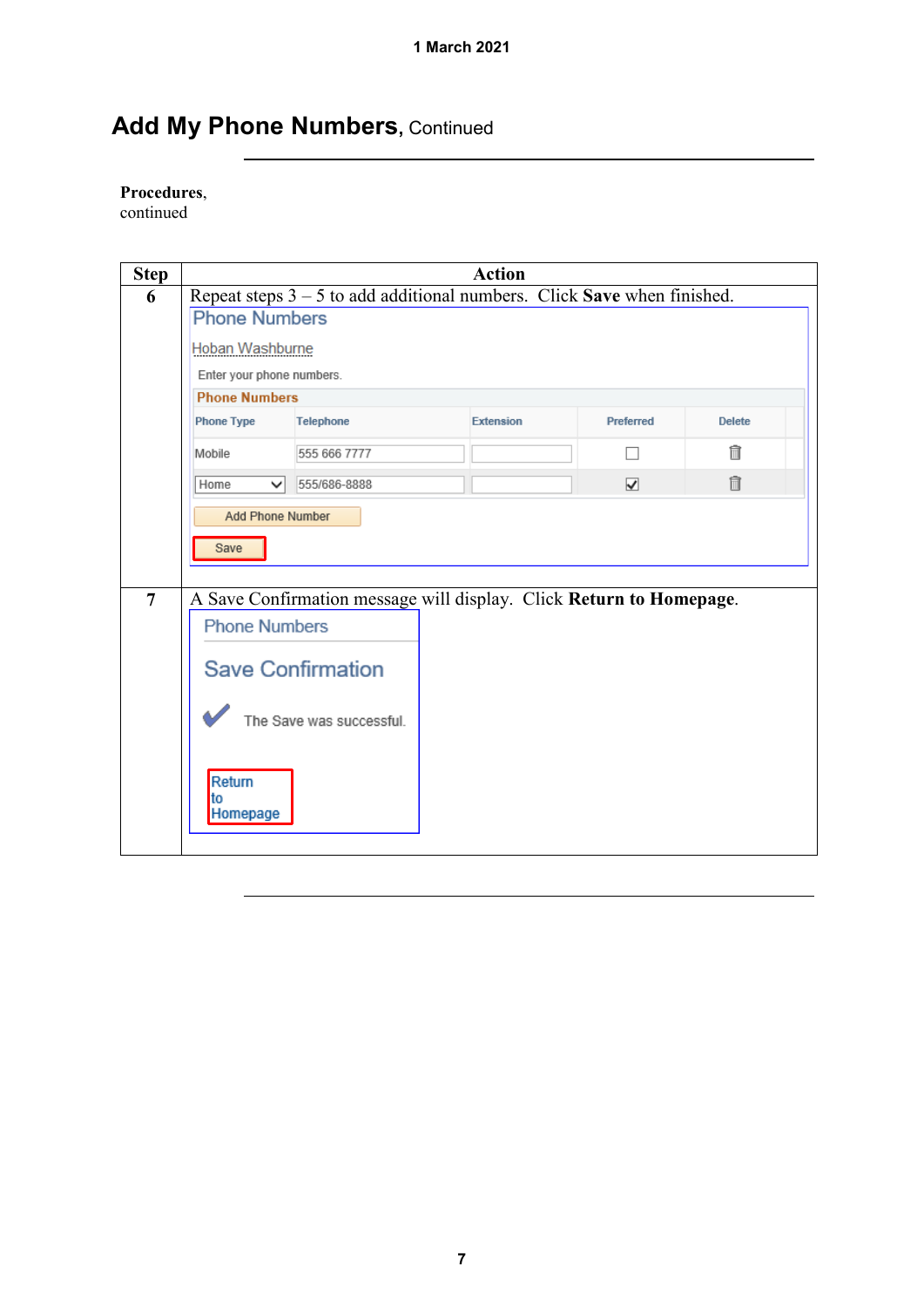## Add My Phone Numbers, Continued

#### **Procedures**,

continued

<span id="page-6-0"></span>

| <b>Step</b> | <b>Action</b>                                                             |                                                                     |                  |                                 |               |  |
|-------------|---------------------------------------------------------------------------|---------------------------------------------------------------------|------------------|---------------------------------|---------------|--|
| 6           | Repeat steps $3 - 5$ to add additional numbers. Click Save when finished. |                                                                     |                  |                                 |               |  |
|             | <b>Phone Numbers</b>                                                      |                                                                     |                  |                                 |               |  |
|             | Hoban Washburne                                                           |                                                                     |                  |                                 |               |  |
|             | Enter your phone numbers.                                                 |                                                                     |                  |                                 |               |  |
|             | <b>Phone Numbers</b>                                                      |                                                                     |                  |                                 |               |  |
|             | <b>Phone Type</b>                                                         | <b>Telephone</b>                                                    | <b>Extension</b> | Preferred                       | <b>Delete</b> |  |
|             | Mobile                                                                    | 555 666 7777                                                        |                  |                                 | fi            |  |
|             | Home<br>◡                                                                 | 555/686-8888                                                        |                  | $\overline{\blacktriangledown}$ | 氚             |  |
|             | <b>Add Phone Number</b><br>Save                                           |                                                                     |                  |                                 |               |  |
| 7           |                                                                           | A Save Confirmation message will display. Click Return to Homepage. |                  |                                 |               |  |
|             | <b>Phone Numbers</b>                                                      |                                                                     |                  |                                 |               |  |
|             |                                                                           | <b>Save Confirmation</b>                                            |                  |                                 |               |  |
|             |                                                                           | The Save was successful.                                            |                  |                                 |               |  |
|             | Return<br>to<br>Homepage                                                  |                                                                     |                  |                                 |               |  |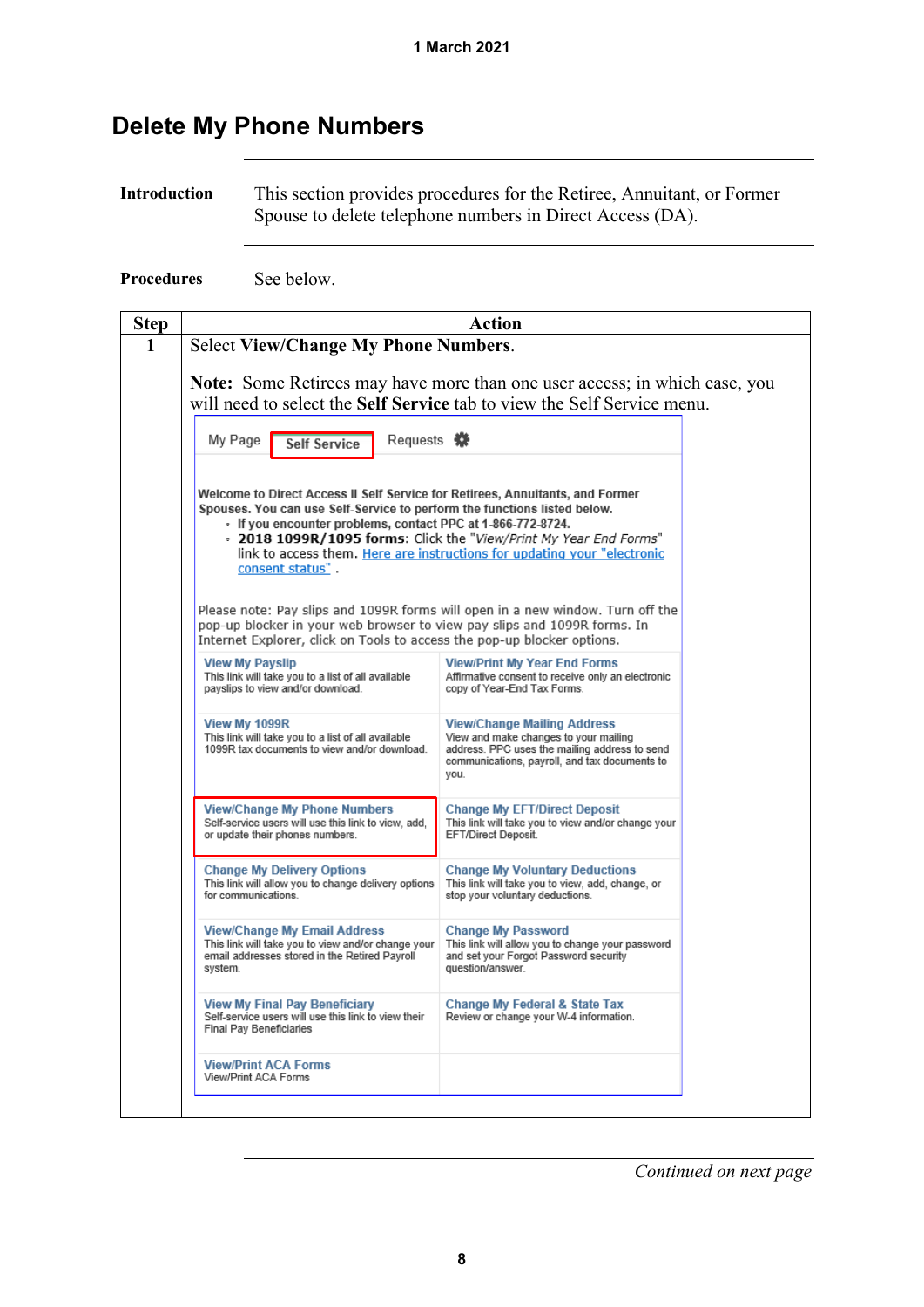### <span id="page-7-0"></span>**Delete My Phone Numbers**

**Introduction** This section provides procedures for the Retiree, Annuitant, or Former Spouse to delete telephone numbers in Direct Access (DA).

**Procedures** See below.

| <b>Step</b> | Action                                                                                                                                                                                                                                |                                                                                                                                                                                       |  |  |  |
|-------------|---------------------------------------------------------------------------------------------------------------------------------------------------------------------------------------------------------------------------------------|---------------------------------------------------------------------------------------------------------------------------------------------------------------------------------------|--|--|--|
| 1           | <b>Select View/Change My Phone Numbers.</b>                                                                                                                                                                                           |                                                                                                                                                                                       |  |  |  |
|             | <b>Note:</b> Some Retirees may have more than one user access; in which case, you                                                                                                                                                     |                                                                                                                                                                                       |  |  |  |
|             |                                                                                                                                                                                                                                       | will need to select the Self Service tab to view the Self Service menu.                                                                                                               |  |  |  |
|             |                                                                                                                                                                                                                                       |                                                                                                                                                                                       |  |  |  |
|             | Requests 茶<br>My Page<br><b>Self Service</b>                                                                                                                                                                                          |                                                                                                                                                                                       |  |  |  |
|             | Welcome to Direct Access II Self Service for Retirees, Annuitants, and Former                                                                                                                                                         |                                                                                                                                                                                       |  |  |  |
|             | Spouses. You can use Self-Service to perform the functions listed below.                                                                                                                                                              |                                                                                                                                                                                       |  |  |  |
|             | - If you encounter problems, contact PPC at 1-866-772-8724.<br>. 2018 1099R/1095 forms: Click the "View/Print My Year End Forms"                                                                                                      |                                                                                                                                                                                       |  |  |  |
|             |                                                                                                                                                                                                                                       | link to access them. Here are instructions for updating your "electronic                                                                                                              |  |  |  |
|             | consent status".                                                                                                                                                                                                                      |                                                                                                                                                                                       |  |  |  |
|             | Please note: Pay slips and 1099R forms will open in a new window. Turn off the<br>pop-up blocker in your web browser to view pay slips and 1099R forms. In<br>Internet Explorer, click on Tools to access the pop-up blocker options. |                                                                                                                                                                                       |  |  |  |
|             | <b>View My Payslip</b><br>This link will take you to a list of all available<br>payslips to view and/or download.                                                                                                                     | <b>View/Print My Year End Forms</b><br>Affirmative consent to receive only an electronic<br>copy of Year-End Tax Forms.                                                               |  |  |  |
|             | View My 1099R<br>This link will take you to a list of all available<br>1099R tax documents to view and/or download.                                                                                                                   | <b>View/Change Mailing Address</b><br>View and make changes to your mailing<br>address. PPC uses the mailing address to send<br>communications, payroll, and tax documents to<br>you. |  |  |  |
|             | <b>View/Change My Phone Numbers</b><br>Self-service users will use this link to view, add,<br>or update their phones numbers.                                                                                                         | <b>Change My EFT/Direct Deposit</b><br>This link will take you to view and/or change your<br>EFT/Direct Deposit.                                                                      |  |  |  |
|             | <b>Change My Delivery Options</b><br>This link will allow you to change delivery options<br>for communications.                                                                                                                       | <b>Change My Voluntary Deductions</b><br>This link will take you to view, add, change, or<br>stop your voluntary deductions.                                                          |  |  |  |
|             | <b>View/Change My Email Address</b><br>This link will take you to view and/or change your<br>email addresses stored in the Retired Payroll<br>system.                                                                                 | <b>Change My Password</b><br>This link will allow you to change your password<br>and set your Forgot Password security<br>question/answer.                                            |  |  |  |
|             | <b>View My Final Pay Beneficiary</b><br>Self-service users will use this link to view their<br><b>Final Pay Beneficiaries</b>                                                                                                         | <b>Change My Federal &amp; State Tax</b><br>Review or change your W-4 information.                                                                                                    |  |  |  |
|             | <b>View/Print ACA Forms</b><br>View/Print ACA Forms                                                                                                                                                                                   |                                                                                                                                                                                       |  |  |  |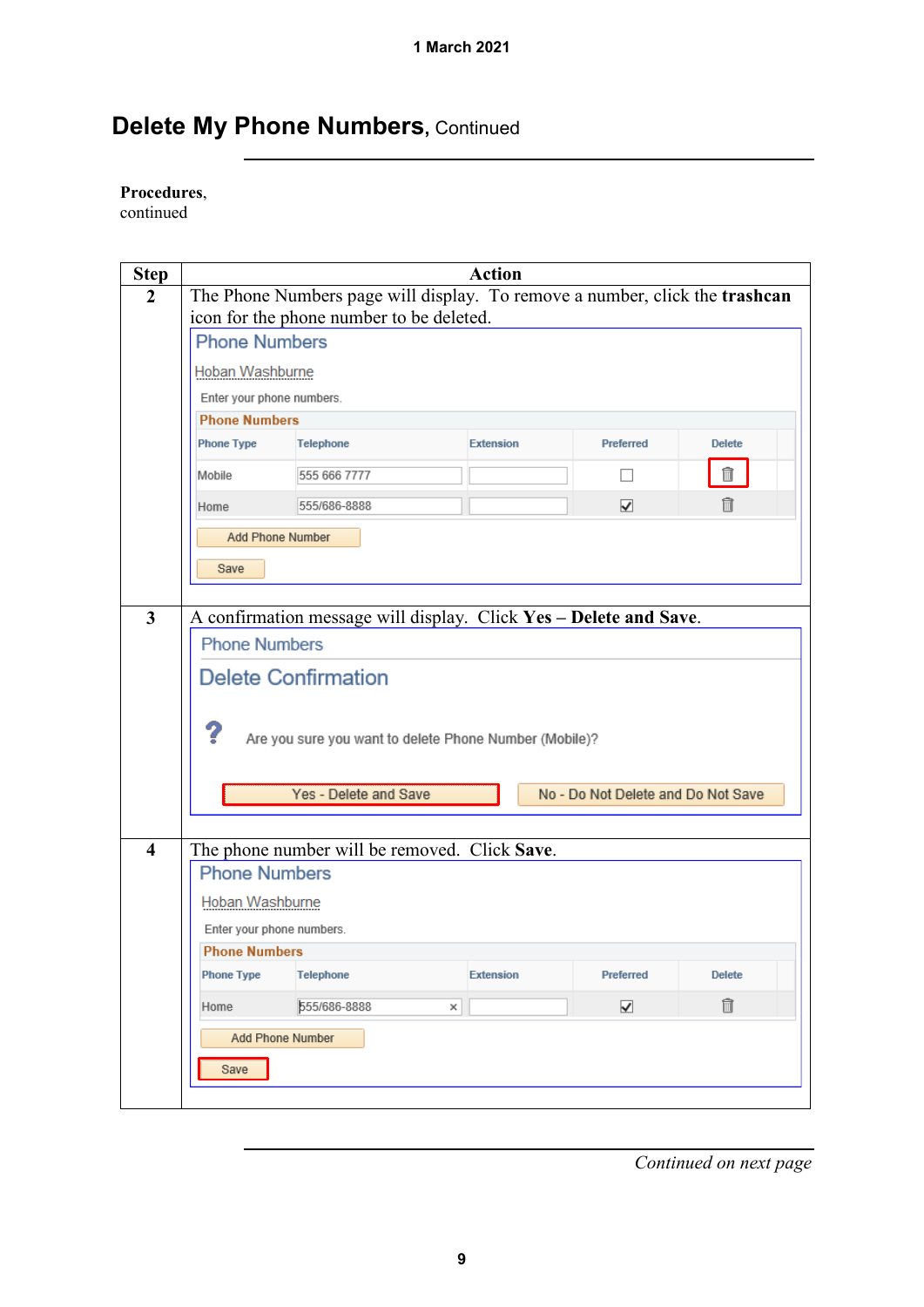## **Delete My Phone Numbers, Continued**

#### **Procedures**,

continued

| <b>Step</b>             |                                                             |                                                                             | <b>Action</b>    |                                    |               |  |
|-------------------------|-------------------------------------------------------------|-----------------------------------------------------------------------------|------------------|------------------------------------|---------------|--|
| $\overline{2}$          |                                                             | The Phone Numbers page will display. To remove a number, click the trashcan |                  |                                    |               |  |
|                         | icon for the phone number to be deleted.                    |                                                                             |                  |                                    |               |  |
|                         | <b>Phone Numbers</b>                                        |                                                                             |                  |                                    |               |  |
|                         | Hoban Washburne                                             |                                                                             |                  |                                    |               |  |
|                         | Enter your phone numbers.                                   |                                                                             |                  |                                    |               |  |
|                         | <b>Phone Numbers</b>                                        |                                                                             |                  |                                    |               |  |
|                         | <b>Phone Type</b>                                           | <b>Telephone</b>                                                            | <b>Extension</b> | Preferred                          | <b>Delete</b> |  |
|                         | Mobile                                                      | 555 666 7777                                                                |                  |                                    | Î             |  |
|                         | Home                                                        | 555/686-8888                                                                |                  | $\overline{\blacktriangledown}$    | 俞             |  |
|                         | <b>Add Phone Number</b>                                     |                                                                             |                  |                                    |               |  |
|                         | Save                                                        |                                                                             |                  |                                    |               |  |
|                         |                                                             |                                                                             |                  |                                    |               |  |
| $\mathbf{3}$            |                                                             | A confirmation message will display. Click Yes - Delete and Save.           |                  |                                    |               |  |
|                         | <b>Phone Numbers</b>                                        |                                                                             |                  |                                    |               |  |
|                         |                                                             | <b>Delete Confirmation</b>                                                  |                  |                                    |               |  |
|                         |                                                             |                                                                             |                  |                                    |               |  |
|                         |                                                             |                                                                             |                  |                                    |               |  |
|                         | ?<br>Are you sure you want to delete Phone Number (Mobile)? |                                                                             |                  |                                    |               |  |
|                         |                                                             |                                                                             |                  |                                    |               |  |
|                         |                                                             | Yes - Delete and Save                                                       |                  | No - Do Not Delete and Do Not Save |               |  |
|                         |                                                             |                                                                             |                  |                                    |               |  |
| $\overline{\mathbf{4}}$ |                                                             | The phone number will be removed. Click Save.                               |                  |                                    |               |  |
|                         | <b>Phone Numbers</b>                                        |                                                                             |                  |                                    |               |  |
|                         | Hoban Washburne                                             |                                                                             |                  |                                    |               |  |
|                         | Enter your phone numbers.                                   |                                                                             |                  |                                    |               |  |
|                         | <b>Phone Numbers</b>                                        |                                                                             |                  |                                    |               |  |
|                         | <b>Phone Type</b>                                           | <b>Telephone</b>                                                            | <b>Extension</b> | Preferred                          | <b>Delete</b> |  |
|                         | Home                                                        | 555/686-8888                                                                | ×                | ⊽                                  | Ô             |  |
|                         |                                                             | <b>Add Phone Number</b>                                                     |                  |                                    |               |  |
|                         | Save                                                        |                                                                             |                  |                                    |               |  |
|                         |                                                             |                                                                             |                  |                                    |               |  |